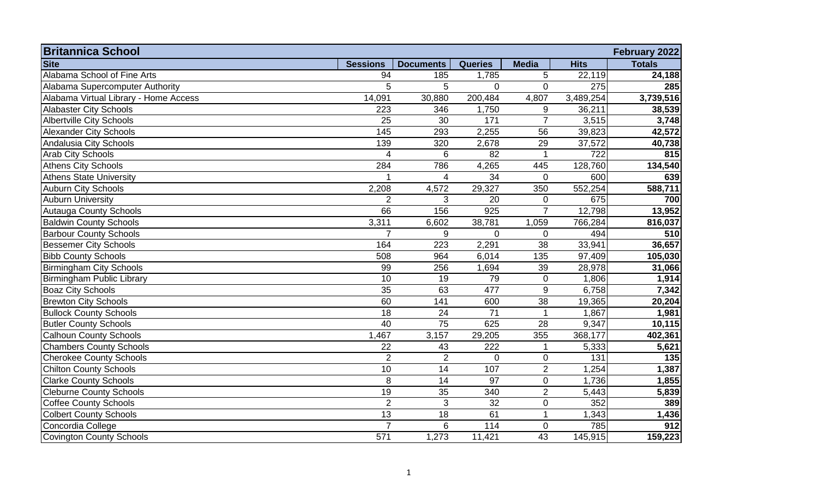| <b>Britannica School</b>              |                 |                  |                |                |             | February 2022 |
|---------------------------------------|-----------------|------------------|----------------|----------------|-------------|---------------|
| <b>Site</b>                           | <b>Sessions</b> | <b>Documents</b> | <b>Queries</b> | <b>Media</b>   | <b>Hits</b> | <b>Totals</b> |
| Alabama School of Fine Arts           | 94              | 185              | 1,785          | 5              | 22,119      | 24,188        |
| Alabama Supercomputer Authority       | 5               | 5                | $\overline{0}$ | $\mathbf{0}$   | 275         | 285           |
| Alabama Virtual Library - Home Access | 14,091          | 30,880           | 200,484        | 4,807          | 3,489,254   | 3,739,516     |
| <b>Alabaster City Schools</b>         | 223             | 346              | 1,750          | 9              | 36,211      | 38,539        |
| <b>Albertville City Schools</b>       | 25              | 30               | 171            | $\overline{7}$ | 3,515       | 3,748         |
| <b>Alexander City Schools</b>         | 145             | 293              | 2,255          | 56             | 39,823      | 42,572        |
| Andalusia City Schools                | 139             | 320              | 2,678          | 29             | 37,572      | 40,738        |
| <b>Arab City Schools</b>              | 4               | 6                | 82             |                | 722         | 815           |
| <b>Athens City Schools</b>            | 284             | 786              | 4,265          | 445            | 128,760     | 134,540       |
| <b>Athens State University</b>        | 1               | 4                | 34             | $\mathbf 0$    | 600         | 639           |
| <b>Auburn City Schools</b>            | 2,208           | 4,572            | 29,327         | 350            | 552,254     | 588,711       |
| <b>Auburn University</b>              | $\overline{2}$  | 3                | 20             | $\mathbf 0$    | 675         | 700           |
| <b>Autauga County Schools</b>         | 66              | 156              | 925            | $\overline{7}$ | 12,798      | 13,952        |
| <b>Baldwin County Schools</b>         | 3,311           | 6,602            | 38,781         | 1,059          | 766,284     | 816,037       |
| <b>Barbour County Schools</b>         | $\overline{7}$  | 9                | $\Omega$       | $\overline{0}$ | 494         | 510           |
| <b>Bessemer City Schools</b>          | 164             | 223              | 2,291          | 38             | 33,941      | 36,657        |
| <b>Bibb County Schools</b>            | 508             | 964              | 6,014          | 135            | 97,409      | 105,030       |
| <b>Birmingham City Schools</b>        | 99              | 256              | 1,694          | 39             | 28,978      | 31,066        |
| <b>Birmingham Public Library</b>      | 10              | 19               | 79             | $\mathbf 0$    | 1,806       | 1,914         |
| <b>Boaz City Schools</b>              | 35              | 63               | 477            | 9              | 6,758       | 7,342         |
| <b>Brewton City Schools</b>           | 60              | 141              | 600            | 38             | 19,365      | 20,204        |
| <b>Bullock County Schools</b>         | 18              | 24               | 71             |                | 1,867       | 1,981         |
| <b>Butler County Schools</b>          | 40              | 75               | 625            | 28             | 9,347       | 10,115        |
| <b>Calhoun County Schools</b>         | 1,467           | 3,157            | 29,205         | 355            | 368,177     | 402,361       |
| <b>Chambers County Schools</b>        | 22              | 43               | 222            |                | 5,333       | 5,621         |
| <b>Cherokee County Schools</b>        | $\overline{2}$  | $\overline{2}$   | $\mathbf 0$    | $\mathbf 0$    | 131         | 135           |
| <b>Chilton County Schools</b>         | 10              | $\overline{14}$  | 107            | $\overline{2}$ | 1,254       | 1,387         |
| <b>Clarke County Schools</b>          | 8               | 14               | 97             | $\mathbf 0$    | 1,736       | 1,855         |
| <b>Cleburne County Schools</b>        | 19              | 35               | 340            | $\overline{2}$ | 5,443       | 5,839         |
| <b>Coffee County Schools</b>          | $\overline{2}$  | 3                | 32             | $\mathbf 0$    | 352         | 389           |
| <b>Colbert County Schools</b>         | 13              | 18               | 61             |                | 1,343       | 1,436         |
| Concordia College                     | $\overline{7}$  | 6                | 114            | $\mathbf 0$    | 785         | 912           |
| Covington County Schools              | 571             | 1,273            | 11,421         | 43             | 145,915     | 159,223       |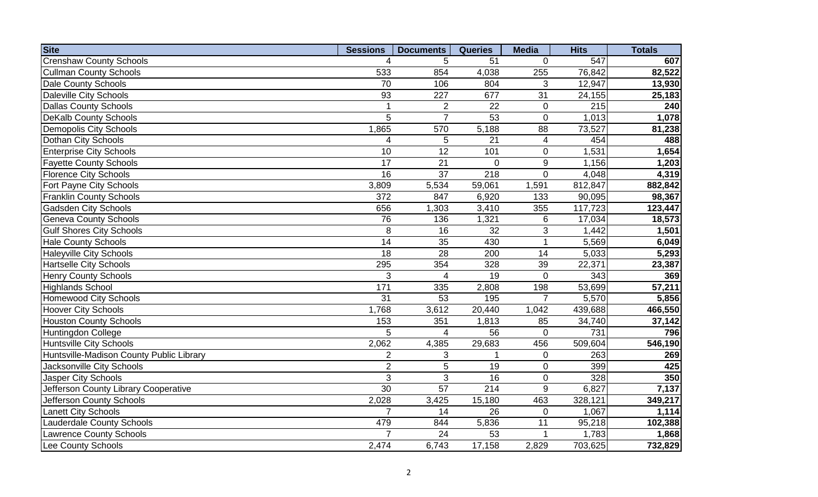| <b>Site</b>                              | <b>Sessions</b> | <b>Documents</b> | <b>Queries</b>  | <b>Media</b>   | <b>Hits</b> | <b>Totals</b>    |
|------------------------------------------|-----------------|------------------|-----------------|----------------|-------------|------------------|
| <b>Crenshaw County Schools</b>           | 4               | 5                | 51              | $\Omega$       | 547         | 607              |
| <b>Cullman County Schools</b>            | 533             | 854              | 4,038           | 255            | 76,842      | 82,522           |
| <b>Dale County Schools</b>               | 70              | 106              | 804             | 3              | 12,947      | 13,930           |
| <b>Daleville City Schools</b>            | 93              | 227              | 677             | 31             | 24,155      | 25,183           |
| <b>Dallas County Schools</b>             | $\mathbf{1}$    | $\overline{2}$   | 22              | $\mathbf 0$    | 215         | 240              |
| <b>DeKalb County Schools</b>             | 5               | $\overline{7}$   | $\overline{53}$ | $\overline{0}$ | 1,013       | 1,078            |
| <b>Demopolis City Schools</b>            | 1,865           | 570              | 5,188           | 88             | 73,527      | 81,238           |
| Dothan City Schools                      | $\overline{4}$  | 5                | 21              | 4              | 454         | 488              |
| <b>Enterprise City Schools</b>           | $\overline{10}$ | $\overline{12}$  | 101             | 0              | 1,531       | 1,654            |
| <b>Fayette County Schools</b>            | $\overline{17}$ | $\overline{21}$  | $\overline{0}$  | 9              | 1,156       | 1,203            |
| <b>Florence City Schools</b>             | 16              | $\overline{37}$  | 218             | $\overline{0}$ | 4,048       | 4,319            |
| Fort Payne City Schools                  | 3,809           | 5,534            | 59,061          | 1,591          | 812,847     | 882,842          |
| <b>Franklin County Schools</b>           | 372             | 847              | 6,920           | 133            | 90,095      | 98,367           |
| <b>Gadsden City Schools</b>              | 656             | 1,303            | 3,410           | 355            | 117,723     | 123,447          |
| <b>Geneva County Schools</b>             | 76              | 136              | 1,321           | 6              | 17,034      | 18,573           |
| <b>Gulf Shores City Schools</b>          | 8               | 16               | 32              | 3              | 1,442       | 1,501            |
| <b>Hale County Schools</b>               | 14              | 35               | 430             | 1              | 5,569       | 6,049            |
| <b>Haleyville City Schools</b>           | $\overline{18}$ | $\overline{28}$  | 200             | 14             | 5,033       | 5,293            |
| <b>Hartselle City Schools</b>            | 295             | 354              | 328             | 39             | 22,371      | 23,387           |
| <b>Henry County Schools</b>              | 3               | 4                | 19              | $\overline{0}$ | 343         | 369              |
| <b>Highlands School</b>                  | 171             | 335              | 2,808           | 198            | 53,699      | 57,211           |
| <b>Homewood City Schools</b>             | $\overline{31}$ | 53               | 195             | $\overline{7}$ | 5,570       | 5,856            |
| <b>Hoover City Schools</b>               | 1,768           | 3,612            | 20,440          | 1,042          | 439,688     | 466,550          |
| <b>Houston County Schools</b>            | 153             | 351              | 1,813           | 85             | 34,740      | 37,142           |
| <b>Huntingdon College</b>                | 5               | $\overline{4}$   | 56              | $\Omega$       | 731         | 796              |
| <b>Huntsville City Schools</b>           | 2,062           | 4,385            | 29,683          | 456            | 509,604     | 546,190          |
| Huntsville-Madison County Public Library | $\overline{2}$  | 3                |                 | $\mathbf 0$    | 263         | 269              |
| <b>Jacksonville City Schools</b>         | $\overline{2}$  | 5                | 19              | $\mathbf 0$    | 399         | 425              |
| <b>Jasper City Schools</b>               | $\mathbf{3}$    | 3                | 16              | $\mathbf 0$    | 328         | $\overline{350}$ |
| Jefferson County Library Cooperative     | 30              | $\overline{57}$  | 214             | 9              | 6,827       | 7,137            |
| Jefferson County Schools                 | 2,028           | 3,425            | 15,180          | 463            | 328,121     | 349,217          |
| <b>Lanett City Schools</b>               | $\overline{7}$  | 14               | 26              | $\overline{0}$ | 1,067       | 1,114            |
| <b>Lauderdale County Schools</b>         | 479             | 844              | 5,836           | 11             | 95,218      | 102,388          |
| <b>Lawrence County Schools</b>           | $\overline{7}$  | 24               | 53              |                | 1,783       | 1,868            |
| Lee County Schools                       | 2,474           | 6,743            | 17,158          | 2,829          | 703,625     | 732,829          |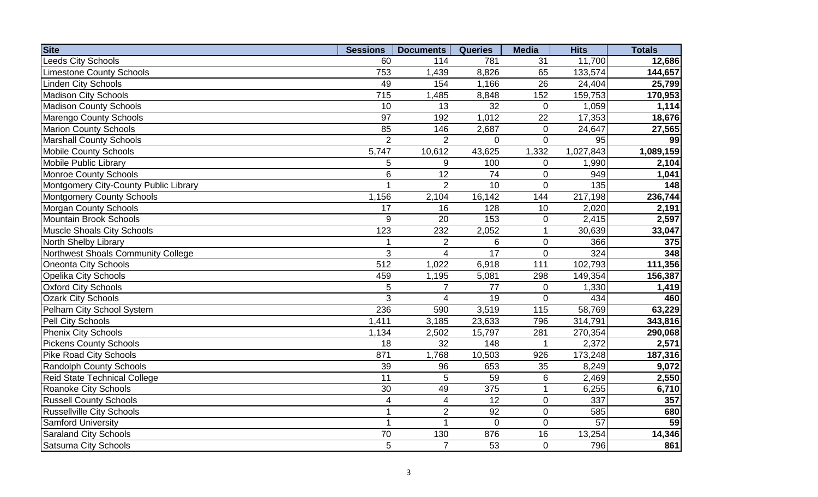| <b>Site</b>                           | <b>Sessions</b> | <b>Documents</b> | <b>Queries</b> | <b>Media</b>   | <b>Hits</b>     | <b>Totals</b>       |
|---------------------------------------|-----------------|------------------|----------------|----------------|-----------------|---------------------|
| Leeds City Schools                    | 60              | 114              | 781            | 31             | 11,700          | 12,686              |
| <b>Limestone County Schools</b>       | 753             | 1,439            | 8,826          | 65             | 133,574         | 144,657             |
| <b>Linden City Schools</b>            | 49              | 154              | 1,166          | 26             | 24,404          | 25,799              |
| <b>Madison City Schools</b>           | 715             | 1,485            | 8,848          | 152            | 159,753         | 170,953             |
| <b>Madison County Schools</b>         | 10              | 13               | 32             | $\overline{0}$ | 1,059           | 1,114               |
| Marengo County Schools                | 97              | 192              | 1,012          | 22             | 17,353          | 18,676              |
| <b>Marion County Schools</b>          | 85              | 146              | 2,687          | $\overline{0}$ | 24,647          | 27,565              |
| <b>Marshall County Schools</b>        | $\overline{2}$  | $\overline{2}$   | $\overline{0}$ | $\overline{0}$ | 95              | 99                  |
| <b>Mobile County Schools</b>          | 5,747           | 10,612           | 43,625         | 1,332          | 1,027,843       | 1,089,159           |
| <b>Mobile Public Library</b>          | 5               | 9                | 100            | 0              | 1,990           | 2,104               |
| <b>Monroe County Schools</b>          | $6\phantom{1}6$ | $\overline{12}$  | 74             | $\overline{0}$ | 949             | 1,041               |
| Montgomery City-County Public Library | 1               | $\overline{2}$   | 10             | $\overline{0}$ | 135             | 148                 |
| <b>Montgomery County Schools</b>      | 1,156           | 2,104            | 16,142         | 144            | 217,198         | 236,744             |
| <b>Morgan County Schools</b>          | 17              | 16               | 128            | 10             | 2,020           | 2,191               |
| Mountain Brook Schools                | 9               | 20               | 153            | $\overline{0}$ | 2,415           | 2,597               |
| <b>Muscle Shoals City Schools</b>     | 123             | 232              | 2,052          | 1              | 30,639          | 33,047              |
| North Shelby Library                  | 1               | $\overline{2}$   | 6              | $\overline{0}$ | 366             | 375                 |
| Northwest Shoals Community College    | 3               | $\overline{4}$   | 17             | $\overline{0}$ | 324             | 348                 |
| <b>Oneonta City Schools</b>           | 512             | 1,022            | 6,918          | 111            | 102,793         | 111,356             |
| <b>Opelika City Schools</b>           | 459             | 1,195            | 5,081          | 298            | 149,354         | 156,387             |
| <b>Oxford City Schools</b>            | 5               | $\overline{7}$   | 77             | 0              | 1,330           | 1,419               |
| <b>Ozark City Schools</b>             | 3               | $\overline{4}$   | 19             | $\overline{0}$ | 434             | 460                 |
| Pelham City School System             | 236             | 590              | 3,519          | 115            | 58,769          | $\overline{63,229}$ |
| Pell City Schools                     | 1,411           | 3,185            | 23,633         | 796            | 314,791         | 343,816             |
| <b>Phenix City Schools</b>            | 1,134           | 2,502            | 15,797         | 281            | 270,354         | 290,068             |
| <b>Pickens County Schools</b>         | 18              | 32               | 148            |                | 2,372           | 2,571               |
| <b>Pike Road City Schools</b>         | 871             | 1,768            | 10,503         | 926            | 173,248         | 187,316             |
| <b>Randolph County Schools</b>        | 39              | 96               | 653            | 35             | 8,249           | 9,072               |
| Reid State Technical College          | 11              | 5                | 59             | 6              | 2,469           | 2,550               |
| <b>Roanoke City Schools</b>           | 30              | 49               | 375            | 1              | 6,255           | 6,710               |
| <b>Russell County Schools</b>         | 4               | $\overline{4}$   | 12             | $\overline{0}$ | 337             | 357                 |
| <b>Russellville City Schools</b>      | 1               | $\overline{2}$   | 92             | $\overline{0}$ | 585             | 680                 |
| <b>Samford University</b>             | 1               | 1                | $\overline{0}$ | $\overline{0}$ | $\overline{57}$ | 59                  |
| <b>Saraland City Schools</b>          | 70              | 130              | 876            | 16             | 13,254          | 14,346              |
| <b>Satsuma City Schools</b>           | 5               | $\overline{7}$   | 53             | $\overline{0}$ | 796             | 861                 |